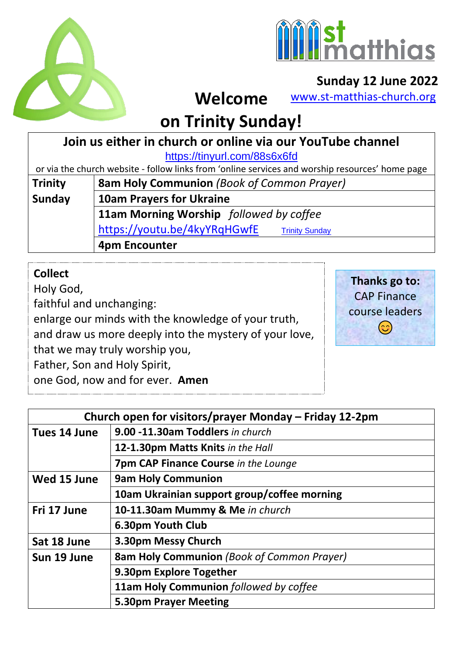



### **Sunday 12 June 2022**

[www.st-matthias-church.org](http://www.st-matthias-church.org/)

#### **on Trinity Sunday!**  $\overline{a}$

**Welcome**

### **Join us either in church or online via our YouTube channel**

<https://tinyurl.com/88s6x6fd>

or via the church website - follow links from 'online services and worship resources' home page

| Trinity | <b>8am Holy Communion</b> (Book of Common Prayer)     |
|---------|-------------------------------------------------------|
| Sunday  | <b>10am Prayers for Ukraine</b>                       |
|         | 11am Morning Worship followed by coffee               |
|         | https://youtu.be/4kyYRqHGwfE<br><b>Trinity Sunday</b> |
|         | <b>4pm Encounter</b>                                  |

### **Collect**

Holy God, faithful and unchanging: enlarge our minds with the knowledge of your truth, and draw us more deeply into the mystery of your love, that we may truly worship you, Father, Son and Holy Spirit, one God, now and for ever. **Amen** 

**Thanks go to:** CAP Finance course leaders  $\odot$ 

| Church open for visitors/prayer Monday - Friday 12-2pm |                                                   |  |
|--------------------------------------------------------|---------------------------------------------------|--|
| Tues 14 June                                           | 9.00 -11.30am Toddlers in church                  |  |
|                                                        | 12-1.30pm Matts Knits in the Hall                 |  |
|                                                        | <b>7pm CAP Finance Course in the Lounge</b>       |  |
| Wed 15 June                                            | <b>9am Holy Communion</b>                         |  |
|                                                        | 10am Ukrainian support group/coffee morning       |  |
| Fri 17 June                                            | 10-11.30am Mummy & Me in church                   |  |
|                                                        | 6.30pm Youth Club                                 |  |
| Sat 18 June                                            | 3.30pm Messy Church                               |  |
| Sun 19 June                                            | <b>8am Holy Communion</b> (Book of Common Prayer) |  |
|                                                        | 9.30pm Explore Together                           |  |
|                                                        | 11am Holy Communion followed by coffee            |  |
|                                                        | <b>5.30pm Prayer Meeting</b>                      |  |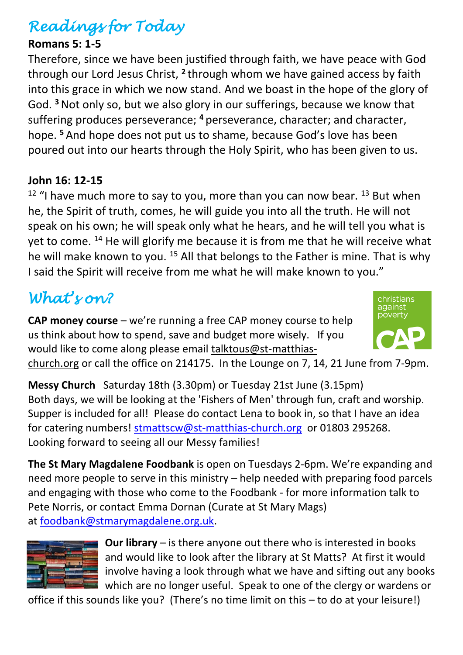# *Readings for Today*

### **Romans 5: 1-5**

Therefore, since we have been justified through faith, we have peace with God through our Lord Jesus Christ, <sup>2</sup> through whom we have gained access by faith into this grace in which we now stand. And we boast in the hope of the glory of God. **<sup>3</sup>**Not only so, but we also glory in our sufferings, because we know that suffering produces perseverance; **<sup>4</sup>** perseverance, character; and character, hope. **<sup>5</sup>** And hope does not put us to shame, because God's love has been poured out into our hearts through the Holy Spirit, who has been given to us.

#### **John 16: 12-15**

 $12$  "I have much more to say to you, more than you can now bear.  $13$  But when he, the Spirit of truth, comes, he will guide you into all the truth. He will not speak on his own; he will speak only what he hears, and he will tell you what is yet to come. <sup>14</sup> He will glorify me because it is from me that he will receive what he will make known to you. <sup>15</sup> All that belongs to the Father is mine. That is why I said the Spirit will receive from me what he will make known to you."

## *What's on?*

**CAP money course** – we're running a free CAP money course to help us think about how to spend, save and budget more wisely. If you would like to come along please email [talktous@st-matthias-](mailto:talktous@st-matthias-church.org)



[church.org](mailto:talktous@st-matthias-church.org) or call the office on 214175. In the Lounge on 7, 14, 21 June from 7-9pm.

**Messy Church** Saturday 18th (3.30pm) or Tuesday 21st June (3.15pm) Both days, we will be looking at the 'Fishers of Men' through fun, craft and worship. Supper is included for all! Please do contact Lena to book in, so that I have an idea for catering numbers! [stmattscw@st-matthias-church.org](mailto:stmattscw@st-matthias-church.org) or 01803 295268. Looking forward to seeing all our Messy families!

**The St Mary Magdalene Foodbank** is open on Tuesdays 2-6pm. We're expanding and need more people to serve in this ministry – help needed with preparing food parcels and engaging with those who come to the Foodbank - for more information talk to Pete Norris, or contact Emma Dornan (Curate at St Mary Mags) at [foodbank@stmarymagdalene.org.uk.](mailto:foodbank@stmarymagdalene.org.uk)



**Our library** – is there anyone out there who is interested in books and would like to look after the library at St Matts? At first it would involve having a look through what we have and sifting out any books which are no longer useful. Speak to one of the clergy or wardens or

office if this sounds like you? (There's no time limit on this – to do at your leisure!)